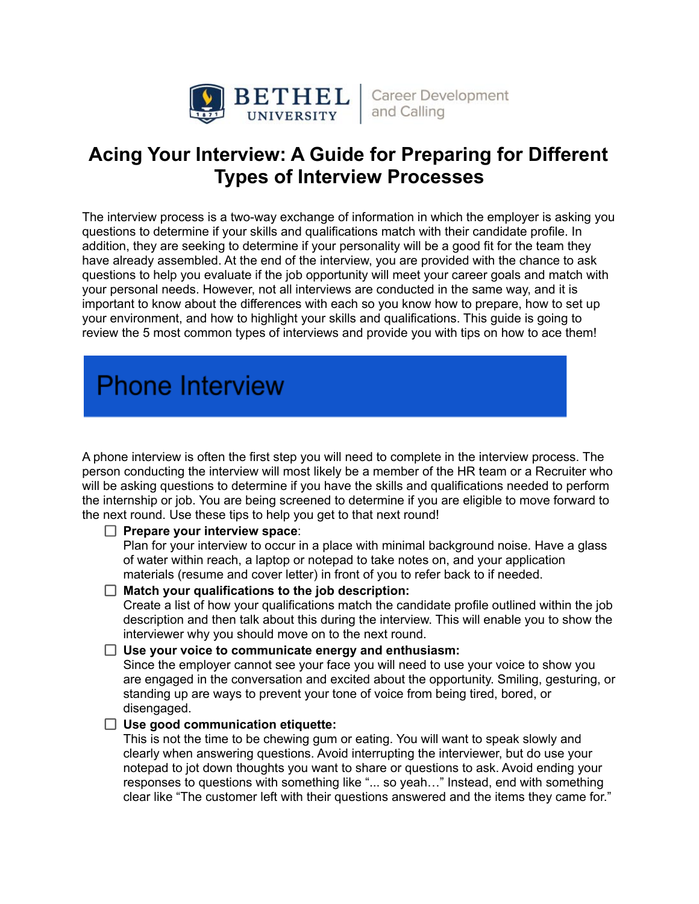

# **Acing Your Interview: A Guide for Preparing for Different Types of Interview Processes**

The interview process is a two-way exchange of information in which the employer is asking you questions to determine if your skills and qualifications match with their candidate profile. In addition, they are seeking to determine if your personality will be a good fit for the team they have already assembled. At the end of the interview, you are provided with the chance to ask questions to help you evaluate if the job opportunity will meet your career goals and match with your personal needs. However, not all interviews are conducted in the same way, and it is important to know about the differences with each so you know how to prepare, how to set up your environment, and how to highlight your skills and qualifications. This guide is going to review the 5 most common types of interviews and provide you with tips on how to ace them!

# **Phone Interview**

A phone interview is often the first step you will need to complete in the interview process. The person conducting the interview will most likely be a member of the HR team or a Recruiter who will be asking questions to determine if you have the skills and qualifications needed to perform the internship or job. You are being screened to determine if you are eligible to move forward to the next round. Use these tips to help you get to that next round!

# **Prepare your interview space**:

Plan for your interview to occur in a place with minimal background noise. Have a glass of water within reach, a laptop or notepad to take notes on, and your application materials (resume and cover letter) in front of you to refer back to if needed.

# **Match your qualifications to the job description:**

Create a list of how your qualifications match the candidate profile outlined within the job description and then talk about this during the interview. This will enable you to show the interviewer why you should move on to the next round.

# **Use your voice to communicate energy and enthusiasm:**

Since the employer cannot see your face you will need to use your voice to show you are engaged in the conversation and excited about the opportunity. Smiling, gesturing, or standing up are ways to prevent your tone of voice from being tired, bored, or disengaged.

# **Use good communication etiquette:**

This is not the time to be chewing gum or eating. You will want to speak slowly and clearly when answering questions. Avoid interrupting the interviewer, but do use your notepad to jot down thoughts you want to share or questions to ask. Avoid ending your responses to questions with something like "... so yeah…" Instead, end with something clear like "The customer left with their questions answered and the items they came for."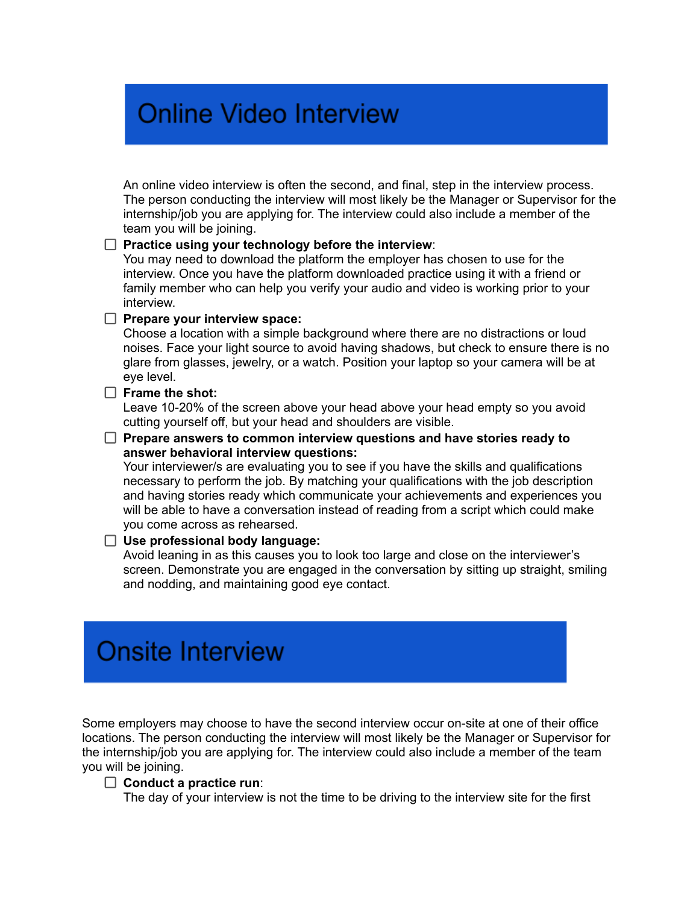# **Online Video Interview**

An online video interview is often the second, and final, step in the interview process. The person conducting the interview will most likely be the Manager or Supervisor for the internship/job you are applying for. The interview could also include a member of the team you will be joining.

#### **Practice using your technology before the interview**:

You may need to download the platform the employer has chosen to use for the interview. Once you have the platform downloaded practice using it with a friend or family member who can help you verify your audio and video is working prior to your interview.

#### **Prepare your interview space:**

Choose a location with a simple background where there are no distractions or loud noises. Face your light source to avoid having shadows, but check to ensure there is no glare from glasses, jewelry, or a watch. Position your laptop so your camera will be at eye level.

#### **Frame the shot:**

Leave 10-20% of the screen above your head above your head empty so you avoid cutting yourself off, but your head and shoulders are visible.

#### **Prepare answers to common interview questions and have stories ready to answer behavioral interview questions:**

Your interviewer/s are evaluating you to see if you have the skills and qualifications necessary to perform the job. By matching your qualifications with the job description and having stories ready which communicate your achievements and experiences you will be able to have a conversation instead of reading from a script which could make you come across as rehearsed.

# **Use professional body language:**

Avoid leaning in as this causes you to look too large and close on the interviewer's screen. Demonstrate you are engaged in the conversation by sitting up straight, smiling and nodding, and maintaining good eye contact.

# **Onsite Interview**

Some employers may choose to have the second interview occur on-site at one of their office locations. The person conducting the interview will most likely be the Manager or Supervisor for the internship/job you are applying for. The interview could also include a member of the team you will be joining.

#### **Conduct a practice run**:

The day of your interview is not the time to be driving to the interview site for the first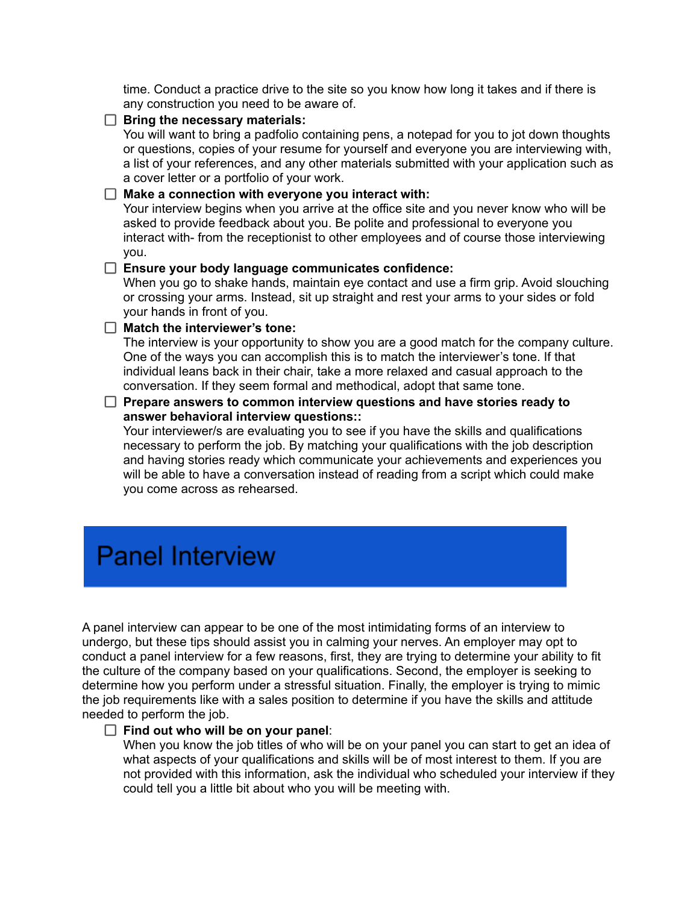time. Conduct a practice drive to the site so you know how long it takes and if there is any construction you need to be aware of.

**Bring the necessary materials:**

You will want to bring a padfolio containing pens, a notepad for you to jot down thoughts or questions, copies of your resume for yourself and everyone you are interviewing with, a list of your references, and any other materials submitted with your application such as a cover letter or a portfolio of your work.

#### **Make a connection with everyone you interact with:**

Your interview begins when you arrive at the office site and you never know who will be asked to provide feedback about you. Be polite and professional to everyone you interact with- from the receptionist to other employees and of course those interviewing you.

#### **Ensure your body language communicates confidence:**

When you go to shake hands, maintain eye contact and use a firm grip. Avoid slouching or crossing your arms. Instead, sit up straight and rest your arms to your sides or fold your hands in front of you.

# **Match the interviewer's tone:**

The interview is your opportunity to show you are a good match for the company culture. One of the ways you can accomplish this is to match the interviewer's tone. If that individual leans back in their chair, take a more relaxed and casual approach to the conversation. If they seem formal and methodical, adopt that same tone.

## **Prepare answers to common interview questions and have stories ready to answer behavioral interview questions::**

Your interviewer/s are evaluating you to see if you have the skills and qualifications necessary to perform the job. By matching your qualifications with the job description and having stories ready which communicate your achievements and experiences you will be able to have a conversation instead of reading from a script which could make you come across as rehearsed.

# **Panel Interview**

A panel interview can appear to be one of the most intimidating forms of an interview to undergo, but these tips should assist you in calming your nerves. An employer may opt to conduct a panel interview for a few reasons, first, they are trying to determine your ability to fit the culture of the company based on your qualifications. Second, the employer is seeking to determine how you perform under a stressful situation. Finally, the employer is trying to mimic the job requirements like with a sales position to determine if you have the skills and attitude needed to perform the job.

#### **Find out who will be on your panel**:

When you know the job titles of who will be on your panel you can start to get an idea of what aspects of your qualifications and skills will be of most interest to them. If you are not provided with this information, ask the individual who scheduled your interview if they could tell you a little bit about who you will be meeting with.